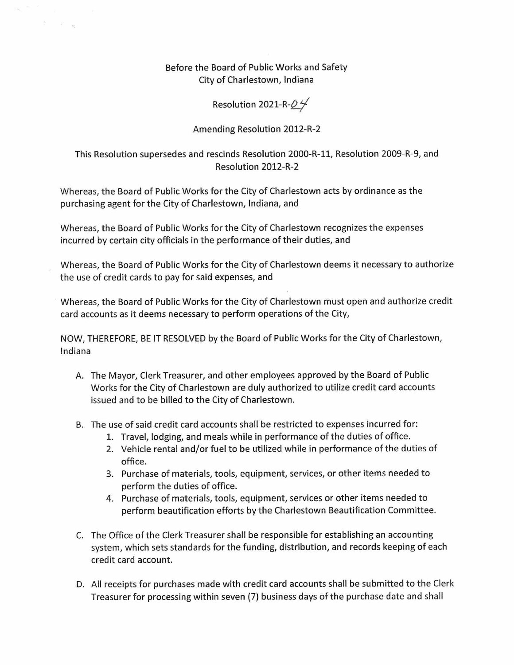## Before the Board of Public Works and Safety City of Charlestown, Indiana

 $\hat{\mathbb{S}} = \mathbb{R}$  by

## Resolution 2021-R- $O$

## Amending Resolution 2012-R-2

## This Resolution supersedes and rescinds Resolution 2000-R-ll, Resolution 2009-R-9, and Resolution 2012-R-2

Whereas, the Board of Public Works for the City of Charlestown acts by ordinance as the purchasing agent for the City of Charlestown, Indiana, and

Whereas, the Board of Public Works for the City of Charlestown recognizes the expenses incurred by certain city officials in the performance of their duties, and

Whereas, the Board of Public Works for the City of Charlestown deems it necessary to authorize the use of credit cards to pay for said expenses, and

Whereas, the Board of Public Works for the City of Charlestown must open and authorize credit card accounts as it deems necessary to perform operations of the City,

NOW, THEREFORE, BE IT RESOLVED by the Board of Public Works for the City of Charlestown, Indiana

- A. The Mayor, Clerk Treasurer, and other employees approved by the Board of Public Works for the City of Charlestown are duly authorized to utilize credit card accounts issued and to be billed to the City of Charlestown.
- B. The use of said credit card accounts shall be restricted to expenses incurred for:
	- 1. Travel, lodging, and meals while in performance of the duties of office.
	- 2. Vehicle rental and/or fuel to be utilized while in performance ofthe duties of office.
	- 3. Purchase of materials, tools, equipment, services, or other items needed to perform the duties of office.
	- 4. Purchase of materials, tools, equipment, services or other items needed to perform beautification efforts by the Charlestown Beautification Committee.
- C. The Office of the Clerk Treasurer shall be responsible for establishing an accounting system, which sets standards for the funding, distribution, and records keeping of each credit card account.
- D. All receipts for purchases made with credit card accounts shall be submitted to the Clerk Treasurer for processing within seven (7) business days ofthe purchase date and shall